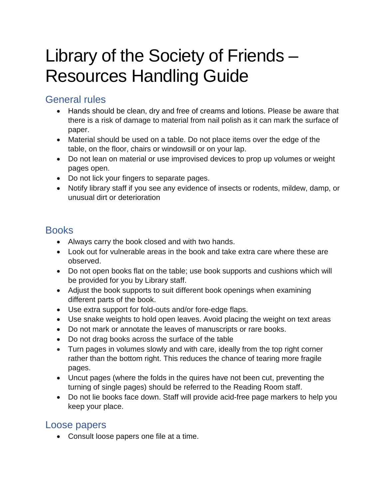# Library of the Society of Friends – Resources Handling Guide

## General rules

- Hands should be clean, dry and free of creams and lotions. Please be aware that there is a risk of damage to material from nail polish as it can mark the surface of paper.
- Material should be used on a table. Do not place items over the edge of the table, on the floor, chairs or windowsill or on your lap.
- Do not lean on material or use improvised devices to prop up volumes or weight pages open.
- Do not lick your fingers to separate pages.
- Notify library staff if you see any evidence of insects or rodents, mildew, damp, or unusual dirt or deterioration

### **Books**

- Always carry the book closed and with two hands.
- Look out for vulnerable areas in the book and take extra care where these are observed.
- Do not open books flat on the table; use book supports and cushions which will be provided for you by Library staff.
- Adjust the book supports to suit different book openings when examining different parts of the book.
- Use extra support for fold-outs and/or fore-edge flaps.
- Use snake weights to hold open leaves. Avoid placing the weight on text areas
- Do not mark or annotate the leaves of manuscripts or rare books.
- Do not drag books across the surface of the table
- Turn pages in volumes slowly and with care, ideally from the top right corner rather than the bottom right. This reduces the chance of tearing more fragile pages.
- Uncut pages (where the folds in the quires have not been cut, preventing the turning of single pages) should be referred to the Reading Room staff.
- Do not lie books face down. Staff will provide acid-free page markers to help you keep your place.

#### Loose papers

• Consult loose papers one file at a time.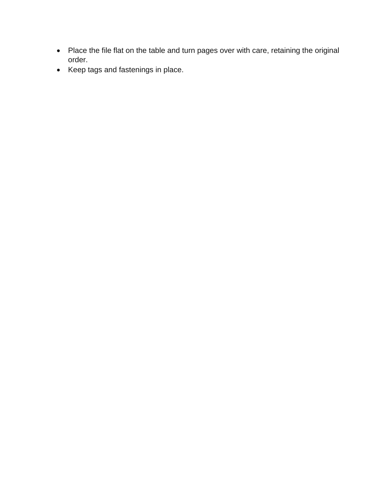- Place the file flat on the table and turn pages over with care, retaining the original order.
- Keep tags and fastenings in place.